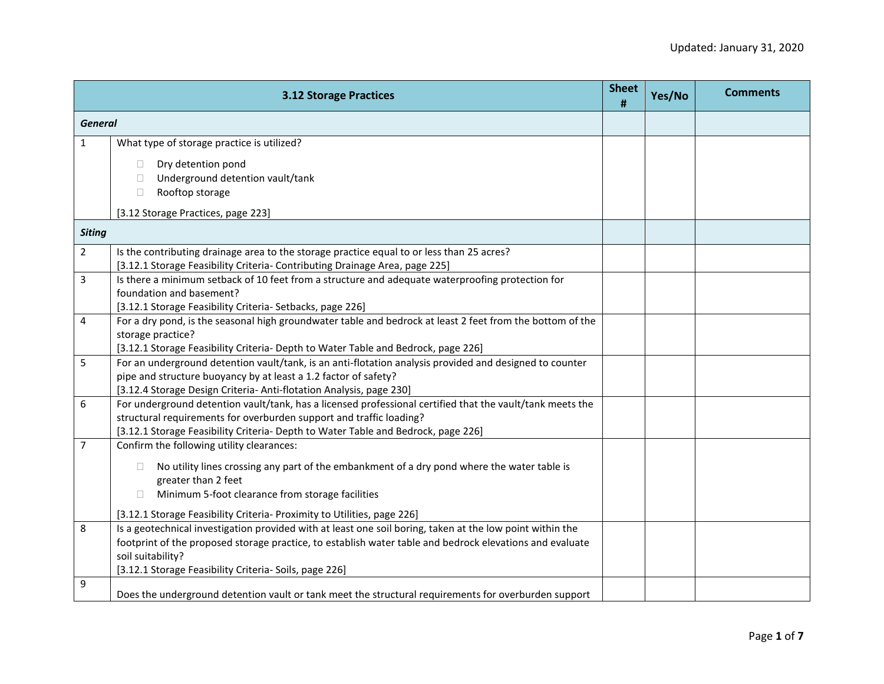|                | <b>3.12 Storage Practices</b>                                                                                                                                                                | <b>Sheet</b><br># | Yes/No | <b>Comments</b> |
|----------------|----------------------------------------------------------------------------------------------------------------------------------------------------------------------------------------------|-------------------|--------|-----------------|
|                | <b>General</b>                                                                                                                                                                               |                   |        |                 |
| $\mathbf{1}$   | What type of storage practice is utilized?                                                                                                                                                   |                   |        |                 |
|                | Dry detention pond<br>П.                                                                                                                                                                     |                   |        |                 |
|                | Underground detention vault/tank<br>$\Box$                                                                                                                                                   |                   |        |                 |
|                | Rooftop storage<br>$\Box$                                                                                                                                                                    |                   |        |                 |
|                | [3.12 Storage Practices, page 223]                                                                                                                                                           |                   |        |                 |
| <b>Siting</b>  |                                                                                                                                                                                              |                   |        |                 |
| $\overline{2}$ | Is the contributing drainage area to the storage practice equal to or less than 25 acres?                                                                                                    |                   |        |                 |
|                | [3.12.1 Storage Feasibility Criteria- Contributing Drainage Area, page 225]                                                                                                                  |                   |        |                 |
| 3              | Is there a minimum setback of 10 feet from a structure and adequate waterproofing protection for                                                                                             |                   |        |                 |
|                | foundation and basement?                                                                                                                                                                     |                   |        |                 |
|                | [3.12.1 Storage Feasibility Criteria- Setbacks, page 226]                                                                                                                                    |                   |        |                 |
| $\overline{4}$ | For a dry pond, is the seasonal high groundwater table and bedrock at least 2 feet from the bottom of the                                                                                    |                   |        |                 |
|                | storage practice?                                                                                                                                                                            |                   |        |                 |
| 5              | [3.12.1 Storage Feasibility Criteria- Depth to Water Table and Bedrock, page 226]<br>For an underground detention vault/tank, is an anti-flotation analysis provided and designed to counter |                   |        |                 |
|                | pipe and structure buoyancy by at least a 1.2 factor of safety?                                                                                                                              |                   |        |                 |
|                | [3.12.4 Storage Design Criteria- Anti-flotation Analysis, page 230]                                                                                                                          |                   |        |                 |
| 6              | For underground detention vault/tank, has a licensed professional certified that the vault/tank meets the                                                                                    |                   |        |                 |
|                | structural requirements for overburden support and traffic loading?                                                                                                                          |                   |        |                 |
|                | [3.12.1 Storage Feasibility Criteria- Depth to Water Table and Bedrock, page 226]                                                                                                            |                   |        |                 |
| $\overline{7}$ | Confirm the following utility clearances:                                                                                                                                                    |                   |        |                 |
|                | No utility lines crossing any part of the embankment of a dry pond where the water table is<br>$\Box$                                                                                        |                   |        |                 |
|                | greater than 2 feet                                                                                                                                                                          |                   |        |                 |
|                | Minimum 5-foot clearance from storage facilities<br>$\Box$                                                                                                                                   |                   |        |                 |
|                | [3.12.1 Storage Feasibility Criteria- Proximity to Utilities, page 226]                                                                                                                      |                   |        |                 |
| 8              | Is a geotechnical investigation provided with at least one soil boring, taken at the low point within the                                                                                    |                   |        |                 |
|                | footprint of the proposed storage practice, to establish water table and bedrock elevations and evaluate                                                                                     |                   |        |                 |
|                | soil suitability?                                                                                                                                                                            |                   |        |                 |
|                | [3.12.1 Storage Feasibility Criteria- Soils, page 226]                                                                                                                                       |                   |        |                 |
| 9              | Does the underground detention vault or tank meet the structural requirements for overburden support                                                                                         |                   |        |                 |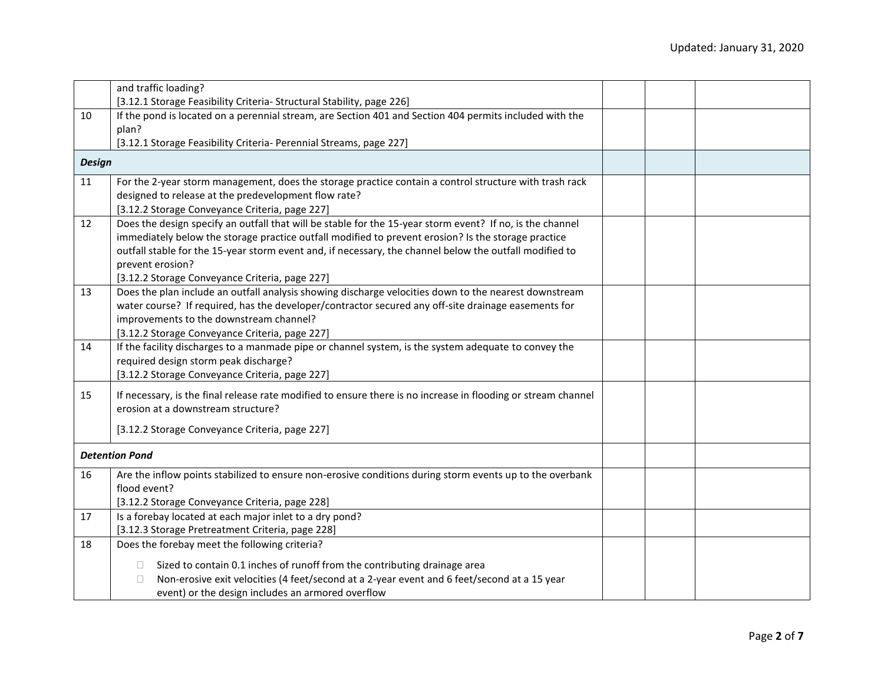|               | and traffic loading?                                                                                          |  |  |
|---------------|---------------------------------------------------------------------------------------------------------------|--|--|
|               | [3.12.1 Storage Feasibility Criteria- Structural Stability, page 226]                                         |  |  |
| 10            | If the pond is located on a perennial stream, are Section 401 and Section 404 permits included with the       |  |  |
|               | plan?                                                                                                         |  |  |
|               | [3.12.1 Storage Feasibility Criteria- Perennial Streams, page 227]                                            |  |  |
| <b>Design</b> |                                                                                                               |  |  |
| 11            | For the 2-year storm management, does the storage practice contain a control structure with trash rack        |  |  |
|               | designed to release at the predevelopment flow rate?                                                          |  |  |
|               | [3.12.2 Storage Conveyance Criteria, page 227]                                                                |  |  |
| 12            | Does the design specify an outfall that will be stable for the 15-year storm event? If no, is the channel     |  |  |
|               | immediately below the storage practice outfall modified to prevent erosion? Is the storage practice           |  |  |
|               | outfall stable for the 15-year storm event and, if necessary, the channel below the outfall modified to       |  |  |
|               | prevent erosion?                                                                                              |  |  |
|               | [3.12.2 Storage Conveyance Criteria, page 227]                                                                |  |  |
| 13            | Does the plan include an outfall analysis showing discharge velocities down to the nearest downstream         |  |  |
|               | water course? If required, has the developer/contractor secured any off-site drainage easements for           |  |  |
|               | improvements to the downstream channel?                                                                       |  |  |
|               | [3.12.2 Storage Conveyance Criteria, page 227]                                                                |  |  |
| 14            | If the facility discharges to a manmade pipe or channel system, is the system adequate to convey the          |  |  |
|               | required design storm peak discharge?                                                                         |  |  |
|               | [3.12.2 Storage Conveyance Criteria, page 227]                                                                |  |  |
|               |                                                                                                               |  |  |
| 15            | If necessary, is the final release rate modified to ensure there is no increase in flooding or stream channel |  |  |
|               | erosion at a downstream structure?                                                                            |  |  |
|               | [3.12.2 Storage Conveyance Criteria, page 227]                                                                |  |  |
|               |                                                                                                               |  |  |
|               | <b>Detention Pond</b>                                                                                         |  |  |
| 16            | Are the inflow points stabilized to ensure non-erosive conditions during storm events up to the overbank      |  |  |
|               | flood event?                                                                                                  |  |  |
|               | [3.12.2 Storage Conveyance Criteria, page 228]                                                                |  |  |
| 17            | Is a forebay located at each major inlet to a dry pond?                                                       |  |  |
|               | [3.12.3 Storage Pretreatment Criteria, page 228]                                                              |  |  |
| 18            | Does the forebay meet the following criteria?                                                                 |  |  |
|               | Sized to contain 0.1 inches of runoff from the contributing drainage area<br>$\Box$                           |  |  |
|               | Non-erosive exit velocities (4 feet/second at a 2-year event and 6 feet/second at a 15 year<br>$\Box$         |  |  |
|               | event) or the design includes an armored overflow                                                             |  |  |
|               |                                                                                                               |  |  |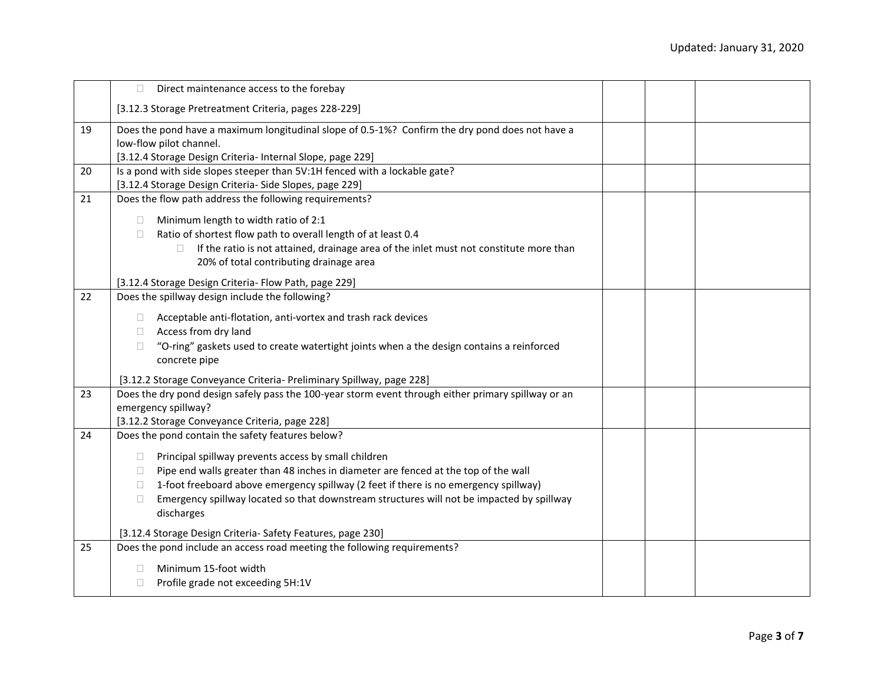|    | O.<br>Direct maintenance access to the forebay                                                                                                                                                                                                                                                                                                                                                                                                                                            |  |
|----|-------------------------------------------------------------------------------------------------------------------------------------------------------------------------------------------------------------------------------------------------------------------------------------------------------------------------------------------------------------------------------------------------------------------------------------------------------------------------------------------|--|
|    | [3.12.3 Storage Pretreatment Criteria, pages 228-229]                                                                                                                                                                                                                                                                                                                                                                                                                                     |  |
| 19 | Does the pond have a maximum longitudinal slope of 0.5-1%? Confirm the dry pond does not have a<br>low-flow pilot channel.<br>[3.12.4 Storage Design Criteria- Internal Slope, page 229]                                                                                                                                                                                                                                                                                                  |  |
| 20 | Is a pond with side slopes steeper than 5V:1H fenced with a lockable gate?<br>[3.12.4 Storage Design Criteria- Side Slopes, page 229]                                                                                                                                                                                                                                                                                                                                                     |  |
| 21 | Does the flow path address the following requirements?<br>Minimum length to width ratio of 2:1<br>O.<br>Ratio of shortest flow path to overall length of at least 0.4<br>П<br>If the ratio is not attained, drainage area of the inlet must not constitute more than<br>П.<br>20% of total contributing drainage area<br>[3.12.4 Storage Design Criteria- Flow Path, page 229]                                                                                                            |  |
| 22 | Does the spillway design include the following?<br>Acceptable anti-flotation, anti-vortex and trash rack devices<br>П.<br>Access from dry land<br>$\Box$<br>"O-ring" gaskets used to create watertight joints when a the design contains a reinforced<br>$\Box$<br>concrete pipe<br>[3.12.2 Storage Conveyance Criteria- Preliminary Spillway, page 228]                                                                                                                                  |  |
| 23 | Does the dry pond design safely pass the 100-year storm event through either primary spillway or an<br>emergency spillway?<br>[3.12.2 Storage Conveyance Criteria, page 228]                                                                                                                                                                                                                                                                                                              |  |
| 24 | Does the pond contain the safety features below?<br>Principal spillway prevents access by small children<br>□.<br>Pipe end walls greater than 48 inches in diameter are fenced at the top of the wall<br>Ω.<br>1-foot freeboard above emergency spillway (2 feet if there is no emergency spillway)<br>П.<br>Emergency spillway located so that downstream structures will not be impacted by spillway<br>O.<br>discharges<br>[3.12.4 Storage Design Criteria- Safety Features, page 230] |  |
| 25 | Does the pond include an access road meeting the following requirements?<br>Minimum 15-foot width<br>П<br>Profile grade not exceeding 5H:1V<br>$\Box$                                                                                                                                                                                                                                                                                                                                     |  |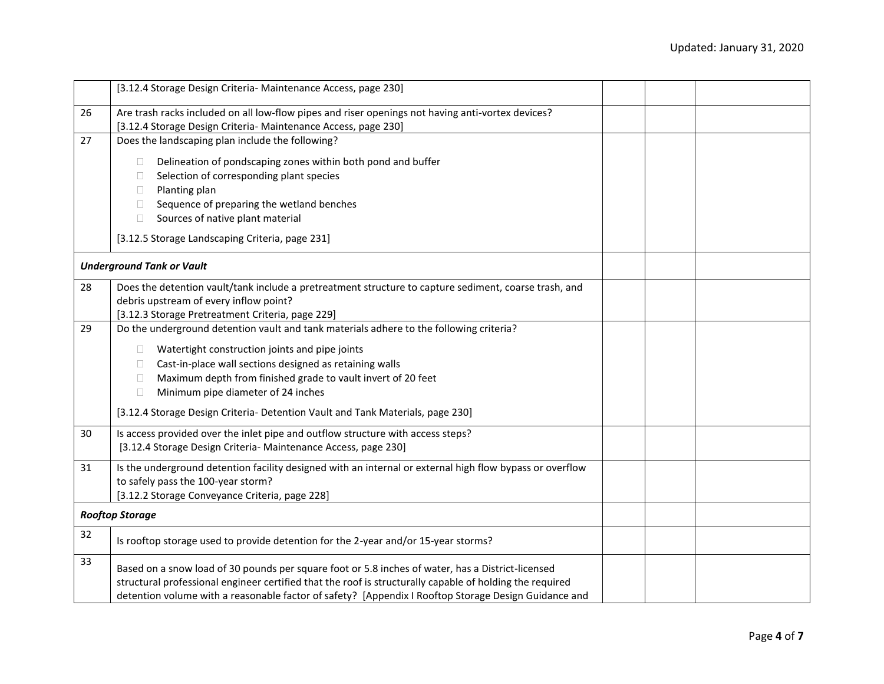|    | [3.12.4 Storage Design Criteria- Maintenance Access, page 230]                                           |  |  |
|----|----------------------------------------------------------------------------------------------------------|--|--|
| 26 | Are trash racks included on all low-flow pipes and riser openings not having anti-vortex devices?        |  |  |
|    | [3.12.4 Storage Design Criteria- Maintenance Access, page 230]                                           |  |  |
| 27 | Does the landscaping plan include the following?                                                         |  |  |
|    | Delineation of pondscaping zones within both pond and buffer<br>n.                                       |  |  |
|    | Selection of corresponding plant species<br>$\Box$                                                       |  |  |
|    | Planting plan<br>$\Box$                                                                                  |  |  |
|    |                                                                                                          |  |  |
|    | Sequence of preparing the wetland benches<br>$\Box$                                                      |  |  |
|    | Sources of native plant material<br>$\Box$                                                               |  |  |
|    | [3.12.5 Storage Landscaping Criteria, page 231]                                                          |  |  |
|    | <b>Underground Tank or Vault</b>                                                                         |  |  |
| 28 | Does the detention vault/tank include a pretreatment structure to capture sediment, coarse trash, and    |  |  |
|    | debris upstream of every inflow point?                                                                   |  |  |
|    | [3.12.3 Storage Pretreatment Criteria, page 229]                                                         |  |  |
| 29 | Do the underground detention vault and tank materials adhere to the following criteria?                  |  |  |
|    | Watertight construction joints and pipe joints<br>$\Box$                                                 |  |  |
|    | Cast-in-place wall sections designed as retaining walls<br>$\mathbf{1}$                                  |  |  |
|    | Maximum depth from finished grade to vault invert of 20 feet<br>$\Box$                                   |  |  |
|    | Minimum pipe diameter of 24 inches<br>$\Box$                                                             |  |  |
|    |                                                                                                          |  |  |
|    | [3.12.4 Storage Design Criteria- Detention Vault and Tank Materials, page 230]                           |  |  |
| 30 | Is access provided over the inlet pipe and outflow structure with access steps?                          |  |  |
|    | [3.12.4 Storage Design Criteria- Maintenance Access, page 230]                                           |  |  |
| 31 | Is the underground detention facility designed with an internal or external high flow bypass or overflow |  |  |
|    | to safely pass the 100-year storm?                                                                       |  |  |
|    | [3.12.2 Storage Conveyance Criteria, page 228]                                                           |  |  |
|    |                                                                                                          |  |  |
|    | <b>Rooftop Storage</b>                                                                                   |  |  |
| 32 | Is rooftop storage used to provide detention for the 2-year and/or 15-year storms?                       |  |  |
| 33 |                                                                                                          |  |  |
|    | Based on a snow load of 30 pounds per square foot or 5.8 inches of water, has a District-licensed        |  |  |
|    | structural professional engineer certified that the roof is structurally capable of holding the required |  |  |
|    | detention volume with a reasonable factor of safety? [Appendix I Rooftop Storage Design Guidance and     |  |  |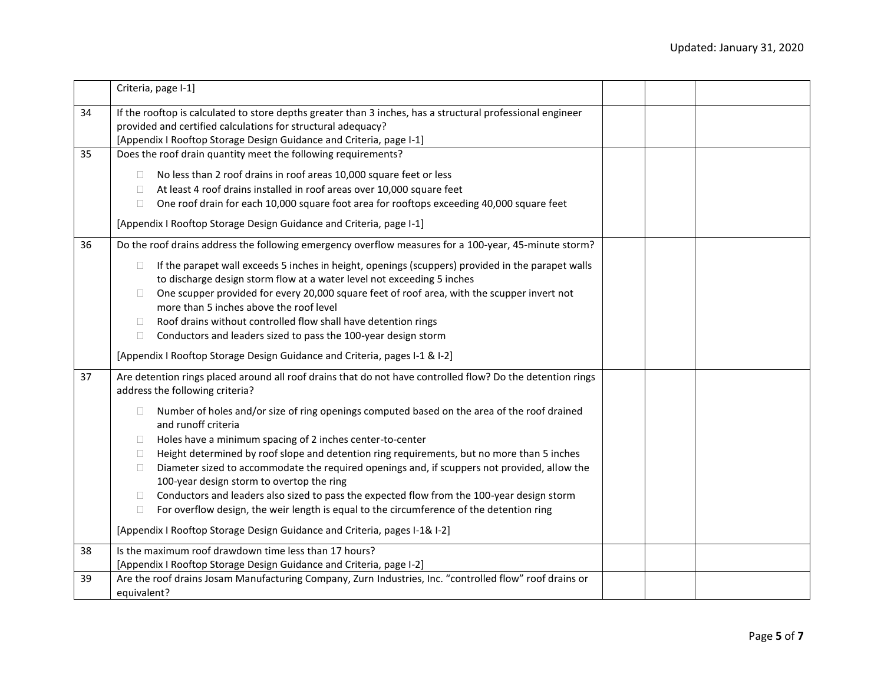|    | Criteria, page I-1]                                                                                                                                                                                                                                                                                                                                                                                                                                                                                                                                                                                                                                                                                                                                           |  |  |
|----|---------------------------------------------------------------------------------------------------------------------------------------------------------------------------------------------------------------------------------------------------------------------------------------------------------------------------------------------------------------------------------------------------------------------------------------------------------------------------------------------------------------------------------------------------------------------------------------------------------------------------------------------------------------------------------------------------------------------------------------------------------------|--|--|
| 34 | If the rooftop is calculated to store depths greater than 3 inches, has a structural professional engineer<br>provided and certified calculations for structural adequacy?<br>[Appendix I Rooftop Storage Design Guidance and Criteria, page I-1]                                                                                                                                                                                                                                                                                                                                                                                                                                                                                                             |  |  |
| 35 | Does the roof drain quantity meet the following requirements?                                                                                                                                                                                                                                                                                                                                                                                                                                                                                                                                                                                                                                                                                                 |  |  |
|    | No less than 2 roof drains in roof areas 10,000 square feet or less<br>$\Box$<br>At least 4 roof drains installed in roof areas over 10,000 square feet<br>$\Box$<br>One roof drain for each 10,000 square foot area for rooftops exceeding 40,000 square feet<br>$\Box$<br>[Appendix I Rooftop Storage Design Guidance and Criteria, page I-1]                                                                                                                                                                                                                                                                                                                                                                                                               |  |  |
| 36 | Do the roof drains address the following emergency overflow measures for a 100-year, 45-minute storm?                                                                                                                                                                                                                                                                                                                                                                                                                                                                                                                                                                                                                                                         |  |  |
|    | If the parapet wall exceeds 5 inches in height, openings (scuppers) provided in the parapet walls<br>$\Box$<br>to discharge design storm flow at a water level not exceeding 5 inches<br>One scupper provided for every 20,000 square feet of roof area, with the scupper invert not<br>n.<br>more than 5 inches above the roof level<br>Roof drains without controlled flow shall have detention rings<br>$\Box$<br>Conductors and leaders sized to pass the 100-year design storm<br>$\Box$                                                                                                                                                                                                                                                                 |  |  |
|    | [Appendix I Rooftop Storage Design Guidance and Criteria, pages I-1 & I-2]                                                                                                                                                                                                                                                                                                                                                                                                                                                                                                                                                                                                                                                                                    |  |  |
| 37 | Are detention rings placed around all roof drains that do not have controlled flow? Do the detention rings<br>address the following criteria?                                                                                                                                                                                                                                                                                                                                                                                                                                                                                                                                                                                                                 |  |  |
|    | Number of holes and/or size of ring openings computed based on the area of the roof drained<br>$\Box$<br>and runoff criteria<br>Holes have a minimum spacing of 2 inches center-to-center<br>$\Box$<br>Height determined by roof slope and detention ring requirements, but no more than 5 inches<br>$\Box$<br>Diameter sized to accommodate the required openings and, if scuppers not provided, allow the<br>$\Box$<br>100-year design storm to overtop the ring<br>Conductors and leaders also sized to pass the expected flow from the 100-year design storm<br>$\Box$<br>For overflow design, the weir length is equal to the circumference of the detention ring<br>$\Box$<br>[Appendix I Rooftop Storage Design Guidance and Criteria, pages I-1& I-2] |  |  |
| 38 | Is the maximum roof drawdown time less than 17 hours?                                                                                                                                                                                                                                                                                                                                                                                                                                                                                                                                                                                                                                                                                                         |  |  |
|    | [Appendix I Rooftop Storage Design Guidance and Criteria, page I-2]                                                                                                                                                                                                                                                                                                                                                                                                                                                                                                                                                                                                                                                                                           |  |  |
| 39 | Are the roof drains Josam Manufacturing Company, Zurn Industries, Inc. "controlled flow" roof drains or<br>equivalent?                                                                                                                                                                                                                                                                                                                                                                                                                                                                                                                                                                                                                                        |  |  |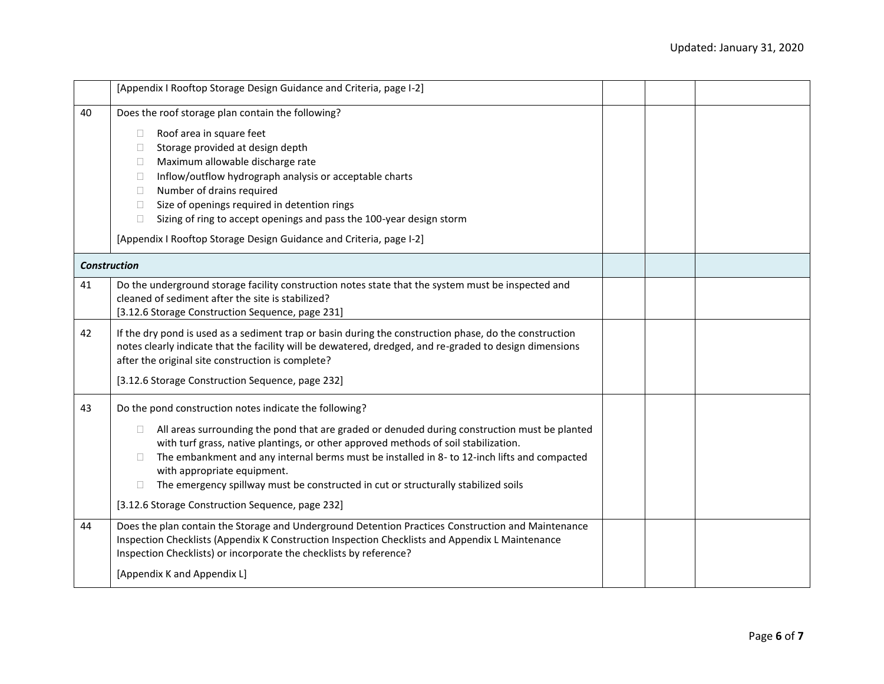|                     | [Appendix I Rooftop Storage Design Guidance and Criteria, page I-2]                                                                                                                                                                                                                                                                                                                                                                                                                                                                                   |  |  |
|---------------------|-------------------------------------------------------------------------------------------------------------------------------------------------------------------------------------------------------------------------------------------------------------------------------------------------------------------------------------------------------------------------------------------------------------------------------------------------------------------------------------------------------------------------------------------------------|--|--|
| 40                  | Does the roof storage plan contain the following?<br>Roof area in square feet<br>$\Box$<br>Storage provided at design depth<br>$\Box$<br>Maximum allowable discharge rate<br>$\Box$<br>Inflow/outflow hydrograph analysis or acceptable charts<br>$\Box$<br>Number of drains required<br>$\Box$<br>Size of openings required in detention rings<br>$\Box$<br>Sizing of ring to accept openings and pass the 100-year design storm<br>$\Box$<br>[Appendix I Rooftop Storage Design Guidance and Criteria, page I-2]                                    |  |  |
| <b>Construction</b> |                                                                                                                                                                                                                                                                                                                                                                                                                                                                                                                                                       |  |  |
| 41                  | Do the underground storage facility construction notes state that the system must be inspected and<br>cleaned of sediment after the site is stabilized?<br>[3.12.6 Storage Construction Sequence, page 231]                                                                                                                                                                                                                                                                                                                                           |  |  |
| 42                  | If the dry pond is used as a sediment trap or basin during the construction phase, do the construction<br>notes clearly indicate that the facility will be dewatered, dredged, and re-graded to design dimensions<br>after the original site construction is complete?<br>[3.12.6 Storage Construction Sequence, page 232]                                                                                                                                                                                                                            |  |  |
| 43                  | Do the pond construction notes indicate the following?<br>All areas surrounding the pond that are graded or denuded during construction must be planted<br>$\Box$<br>with turf grass, native plantings, or other approved methods of soil stabilization.<br>The embankment and any internal berms must be installed in 8- to 12-inch lifts and compacted<br>$\Box$<br>with appropriate equipment.<br>The emergency spillway must be constructed in cut or structurally stabilized soils<br>$\Box$<br>[3.12.6 Storage Construction Sequence, page 232] |  |  |
| 44                  | Does the plan contain the Storage and Underground Detention Practices Construction and Maintenance<br>Inspection Checklists (Appendix K Construction Inspection Checklists and Appendix L Maintenance<br>Inspection Checklists) or incorporate the checklists by reference?<br>[Appendix K and Appendix L]                                                                                                                                                                                                                                            |  |  |